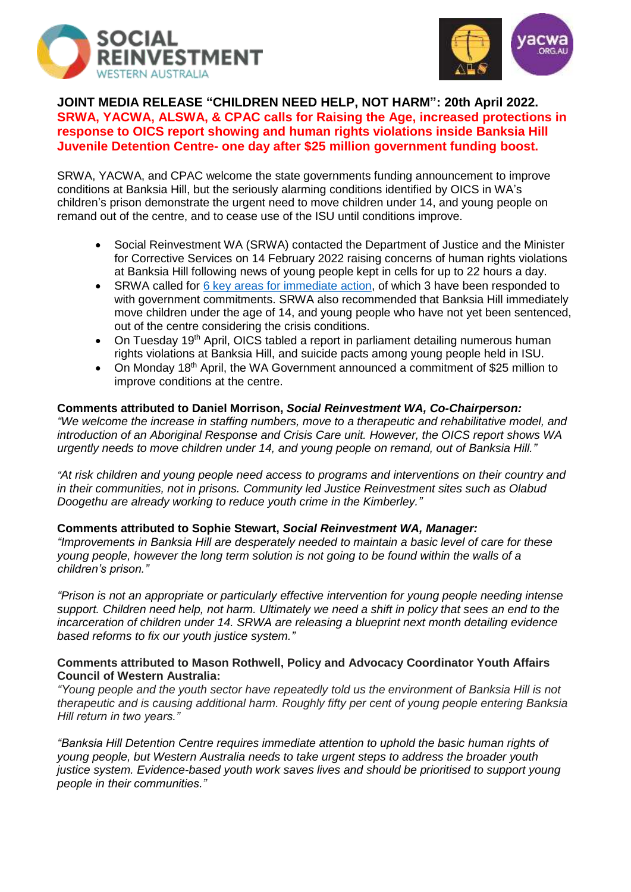



# **JOINT MEDIA RELEASE "CHILDREN NEED HELP, NOT HARM": 20th April 2022. SRWA, YACWA, ALSWA, & CPAC calls for Raising the Age, increased protections in response to OICS report showing and human rights violations inside Banksia Hill Juvenile Detention Centre- one day after \$25 million government funding boost.**

SRWA, YACWA, and CPAC welcome the state governments funding announcement to improve conditions at Banksia Hill, but the seriously alarming conditions identified by OICS in WA's children's prison demonstrate the urgent need to move children under 14, and young people on remand out of the centre, and to cease use of the ISU until conditions improve.

- Social Reinvestment WA (SRWA) contacted the Department of Justice and the Minister for Corrective Services on 14 February 2022 raising concerns of human rights violations at Banksia Hill following news of young people kept in cells for up to 22 hours a day.
- SRWA called for [6 key areas for immediate](https://www.facebook.com/photo.php?fbid=277801157807460&set=pb.100067327325012.-2207520000..&type=3) action, of which 3 have been responded to with government commitments. SRWA also recommended that Banksia Hill immediately move children under the age of 14, and young people who have not yet been sentenced, out of the centre considering the crisis conditions.
- On Tuesday 19<sup>th</sup> April, OICS tabled a report in parliament detailing numerous human rights violations at Banksia Hill, and suicide pacts among young people held in ISU.
- On Monday 18<sup>th</sup> April, the WA Government announced a commitment of \$25 million to improve conditions at the centre.

# **Comments attributed to Daniel Morrison,** *Social Reinvestment WA, Co-Chairperson:*

*"We welcome the increase in staffing numbers, move to a therapeutic and rehabilitative model, and introduction of an Aboriginal Response and Crisis Care unit. However, the OICS report shows WA urgently needs to move children under 14, and young people on remand, out of Banksia Hill."*

*"At risk children and young people need access to programs and interventions on their country and in their communities, not in prisons. Community led Justice Reinvestment sites such as Olabud Doogethu are already working to reduce youth crime in the Kimberley."*

# **Comments attributed to Sophie Stewart,** *Social Reinvestment WA, Manager:*

*"Improvements in Banksia Hill are desperately needed to maintain a basic level of care for these young people, however the long term solution is not going to be found within the walls of a children's prison."*

*"Prison is not an appropriate or particularly effective intervention for young people needing intense support. Children need help, not harm. Ultimately we need a shift in policy that sees an end to the incarceration of children under 14. SRWA are releasing a blueprint next month detailing evidence based reforms to fix our youth justice system."*

## **Comments attributed to Mason Rothwell, Policy and Advocacy Coordinator Youth Affairs Council of Western Australia:**

*"Young people and the youth sector have repeatedly told us the environment of Banksia Hill is not therapeutic and is causing additional harm. Roughly fifty per cent of young people entering Banksia Hill return in two years."*

*"Banksia Hill Detention Centre requires immediate attention to uphold the basic human rights of young people, but Western Australia needs to take urgent steps to address the broader youth justice system. Evidence-based youth work saves lives and should be prioritised to support young people in their communities."*